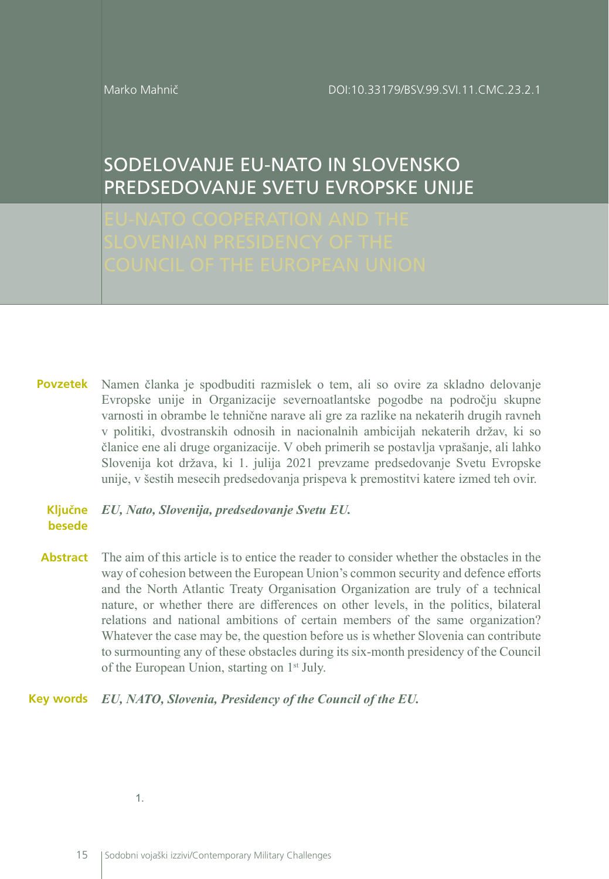Marko Mahnič

# SODELOVANJE EU-NATO IN SLOVENSKO PREDSEDOVANJE SVETU EVROPSKE UNIJE

Namen članka je spodbuditi razmislek o tem, ali so ovire za skladno delovanje **Povzetek** Evropske unije in Organizacije severnoatlantske pogodbe na področju skupne varnosti in obrambe le tehnične narave ali gre za razlike na nekaterih drugih ravneh v politiki, dvostranskih odnosih in nacionalnih ambicijah nekaterih držav, ki so članice ene ali druge organizacije. V obeh primerih se postavlja vprašanje, ali lahko Slovenija kot država, ki 1. julija 2021 prevzame predsedovanje Svetu Evropske unije, v šestih mesecih predsedovanja prispeva k premostitvi katere izmed teh ovir.

#### *EU, Nato, Slovenija, predsedovanje Svetu EU.* **Ključne besede**

**Abstract** The aim of this article is to entice the reader to consider whether the obstacles in the way of cohesion between the European Union's common security and defence efforts and the North Atlantic Treaty Organisation Organization are truly of a technical nature, or whether there are differences on other levels, in the politics, bilateral relations and national ambitions of certain members of the same organization? Whatever the case may be, the question before us is whether Slovenia can contribute to surmounting any of these obstacles during its six-month presidency of the Council of the European Union, starting on 1<sup>st</sup> July.

#### *EU, NATO, Slovenia, Presidency of the Council of the EU.* **Key words**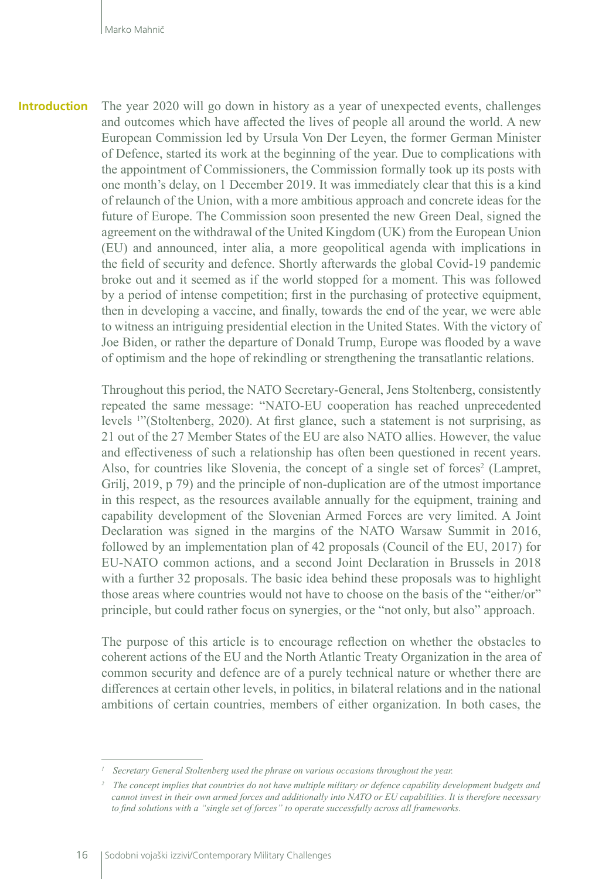The year 2020 will go down in history as a year of unexpected events, challenges and outcomes which have affected the lives of people all around the world. A new European Commission led by Ursula Von Der Leyen, the former German Minister of Defence, started its work at the beginning of the year. Due to complications with the appointment of Commissioners, the Commission formally took up its posts with one month's delay, on 1 December 2019. It was immediately clear that this is a kind of relaunch of the Union, with a more ambitious approach and concrete ideas for the future of Europe. The Commission soon presented the new Green Deal, signed the agreement on the withdrawal of the United Kingdom (UK) from the European Union (EU) and announced, inter alia, a more geopolitical agenda with implications in the field of security and defence. Shortly afterwards the global Covid-19 pandemic broke out and it seemed as if the world stopped for a moment. This was followed by a period of intense competition; first in the purchasing of protective equipment, then in developing a vaccine, and finally, towards the end of the year, we were able to witness an intriguing presidential election in the United States. With the victory of Joe Biden, or rather the departure of Donald Trump, Europe was flooded by a wave of optimism and the hope of rekindling or strengthening the transatlantic relations. **Introduction**

> Throughout this period, the NATO Secretary-General, Jens Stoltenberg, consistently repeated the same message: "NATO-EU cooperation has reached unprecedented levels <sup>1</sup> "(Stoltenberg, 2020). At first glance, such a statement is not surprising, as 21 out of the 27 Member States of the EU are also NATO allies. However, the value and effectiveness of such a relationship has often been questioned in recent years. Also, for countries like Slovenia, the concept of a single set of forces<sup>2</sup> (Lampret, Grilj, 2019, p 79) and the principle of non-duplication are of the utmost importance in this respect, as the resources available annually for the equipment, training and capability development of the Slovenian Armed Forces are very limited. A Joint Declaration was signed in the margins of the NATO Warsaw Summit in 2016, followed by an implementation plan of 42 proposals (Council of the EU, 2017) for EU-NATO common actions, and a second Joint Declaration in Brussels in 2018 with a further 32 proposals. The basic idea behind these proposals was to highlight those areas where countries would not have to choose on the basis of the "either/or" principle, but could rather focus on synergies, or the "not only, but also" approach.

> The purpose of this article is to encourage reflection on whether the obstacles to coherent actions of the EU and the North Atlantic Treaty Organization in the area of common security and defence are of a purely technical nature or whether there are differences at certain other levels, in politics, in bilateral relations and in the national ambitions of certain countries, members of either organization. In both cases, the

*<sup>1</sup> Secretary General Stoltenberg used the phrase on various occasions throughout the year.*

*<sup>2</sup> The concept implies that countries do not have multiple military or defence capability development budgets and cannot invest in their own armed forces and additionally into NATO or EU capabilities. It is therefore necessary to find solutions with a "single set of forces" to operate successfully across all frameworks.*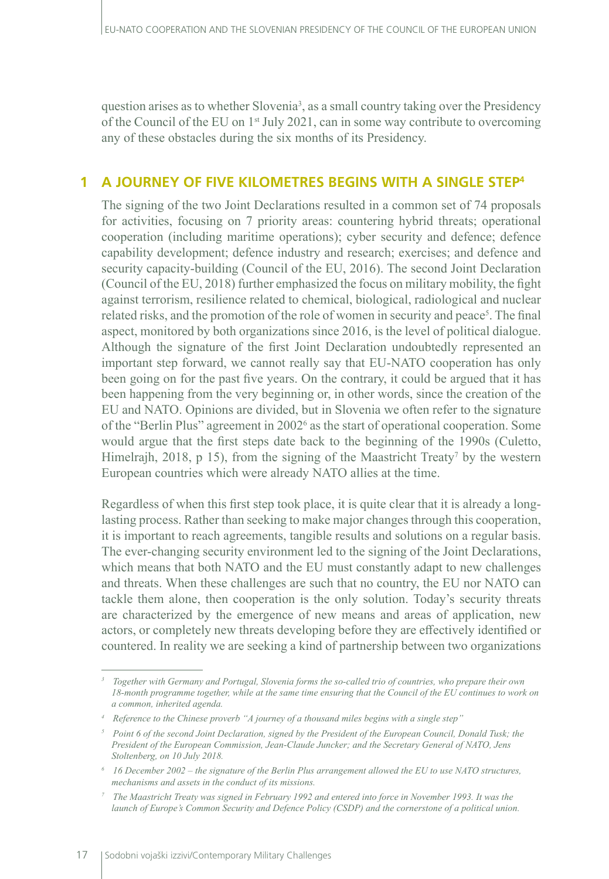question arises as to whether Slovenia<sup>3</sup>, as a small country taking over the Presidency of the Council of the EU on 1<sup>st</sup> July 2021, can in some way contribute to overcoming any of these obstacles during the six months of its Presidency.

# **1 A JOURNEY OF FIVE KILOMETRES BEGINS WITH A SINGLE STEP4**

The signing of the two Joint Declarations resulted in a common set of 74 proposals for activities, focusing on 7 priority areas: countering hybrid threats; operational cooperation (including maritime operations); cyber security and defence; defence capability development; defence industry and research; exercises; and defence and security capacity-building (Council of the EU, 2016). The second Joint Declaration (Council of the EU, 2018) further emphasized the focus on military mobility, the fight against terrorism, resilience related to chemical, biological, radiological and nuclear related risks, and the promotion of the role of women in security and peace<sup>5</sup>. The final aspect, monitored by both organizations since 2016, is the level of political dialogue. Although the signature of the first Joint Declaration undoubtedly represented an important step forward, we cannot really say that EU-NATO cooperation has only been going on for the past five years. On the contrary, it could be argued that it has been happening from the very beginning or, in other words, since the creation of the EU and NATO. Opinions are divided, but in Slovenia we often refer to the signature of the "Berlin Plus" agreement in 2002<sup>6</sup> as the start of operational cooperation. Some would argue that the first steps date back to the beginning of the 1990s (Culetto, Himelrajh, 2018,  $p$  15), from the signing of the Maastricht Treaty<sup>7</sup> by the western European countries which were already NATO allies at the time.

Regardless of when this first step took place, it is quite clear that it is already a longlasting process. Rather than seeking to make major changes through this cooperation, it is important to reach agreements, tangible results and solutions on a regular basis. The ever-changing security environment led to the signing of the Joint Declarations, which means that both NATO and the EU must constantly adapt to new challenges and threats. When these challenges are such that no country, the EU nor NATO can tackle them alone, then cooperation is the only solution. Today's security threats are characterized by the emergence of new means and areas of application, new actors, or completely new threats developing before they are effectively identified or countered. In reality we are seeking a kind of partnership between two organizations

*<sup>3</sup> Together with Germany and Portugal, Slovenia forms the so-called trio of countries, who prepare their own 18-month programme together, while at the same time ensuring that the Council of the EU continues to work on a common, inherited agenda.*

*<sup>4</sup> Reference to the Chinese proverb "A journey of a thousand miles begins with a single step"*

*<sup>5</sup> Point 6 of the second Joint Declaration, signed by the President of the European Council, Donald Tusk; the President of the European Commission, Jean-Claude Juncker; and the Secretary General of NATO, Jens Stoltenberg, on 10 July 2018.*

*<sup>6</sup> 16 December 2002 – the signature of the Berlin Plus arrangement allowed the EU to use NATO structures, mechanisms and assets in the conduct of its missions.*

*<sup>7</sup> The Maastricht Treaty was signed in February 1992 and entered into force in November 1993. It was the launch of Europe's Common Security and Defence Policy (CSDP) and the cornerstone of a political union.*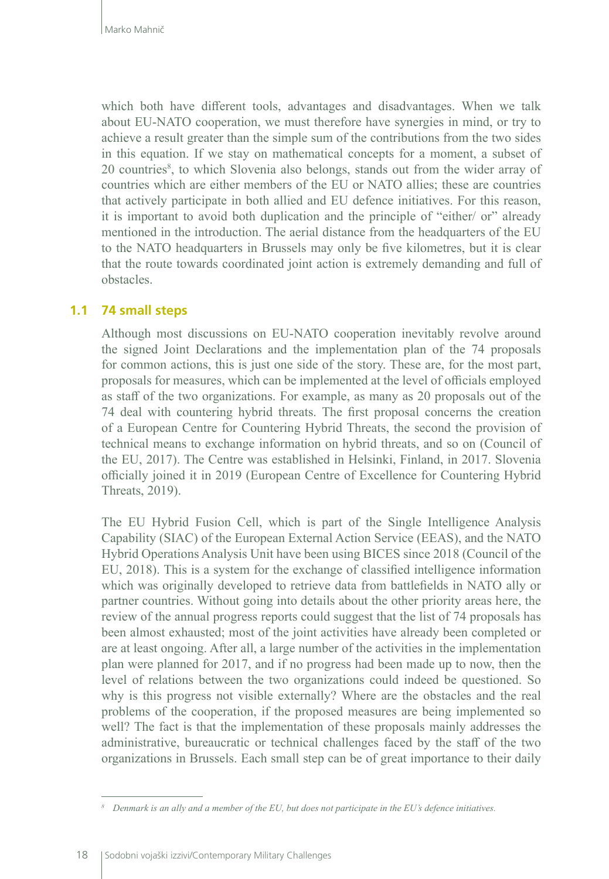which both have different tools, advantages and disadvantages. When we talk about EU-NATO cooperation, we must therefore have synergies in mind, or try to achieve a result greater than the simple sum of the contributions from the two sides in this equation. If we stay on mathematical concepts for a moment, a subset of 20 countries<sup>8</sup>, to which Slovenia also belongs, stands out from the wider array of countries which are either members of the EU or NATO allies; these are countries that actively participate in both allied and EU defence initiatives. For this reason, it is important to avoid both duplication and the principle of "either/ or" already mentioned in the introduction. The aerial distance from the headquarters of the EU to the NATO headquarters in Brussels may only be five kilometres, but it is clear that the route towards coordinated joint action is extremely demanding and full of obstacles.

#### **1.1 74 small steps**

Although most discussions on EU-NATO cooperation inevitably revolve around the signed Joint Declarations and the implementation plan of the 74 proposals for common actions, this is just one side of the story. These are, for the most part, proposals for measures, which can be implemented at the level of officials employed as staff of the two organizations. For example, as many as 20 proposals out of the 74 deal with countering hybrid threats. The first proposal concerns the creation of a European Centre for Countering Hybrid Threats, the second the provision of technical means to exchange information on hybrid threats, and so on (Council of the EU, 2017). The Centre was established in Helsinki, Finland, in 2017. Slovenia officially joined it in 2019 (European Centre of Excellence for Countering Hybrid Threats, 2019).

The EU Hybrid Fusion Cell, which is part of the Single Intelligence Analysis Capability (SIAC) of the European External Action Service (EEAS), and the NATO Hybrid Operations Analysis Unit have been using BICES since 2018 (Council of the EU, 2018). This is a system for the exchange of classified intelligence information which was originally developed to retrieve data from battlefields in NATO ally or partner countries. Without going into details about the other priority areas here, the review of the annual progress reports could suggest that the list of 74 proposals has been almost exhausted; most of the joint activities have already been completed or are at least ongoing. After all, a large number of the activities in the implementation plan were planned for 2017, and if no progress had been made up to now, then the level of relations between the two organizations could indeed be questioned. So why is this progress not visible externally? Where are the obstacles and the real problems of the cooperation, if the proposed measures are being implemented so well? The fact is that the implementation of these proposals mainly addresses the administrative, bureaucratic or technical challenges faced by the staff of the two organizations in Brussels. Each small step can be of great importance to their daily

*<sup>8</sup> Denmark is an ally and a member of the EU, but does not participate in the EU's defence initiatives.*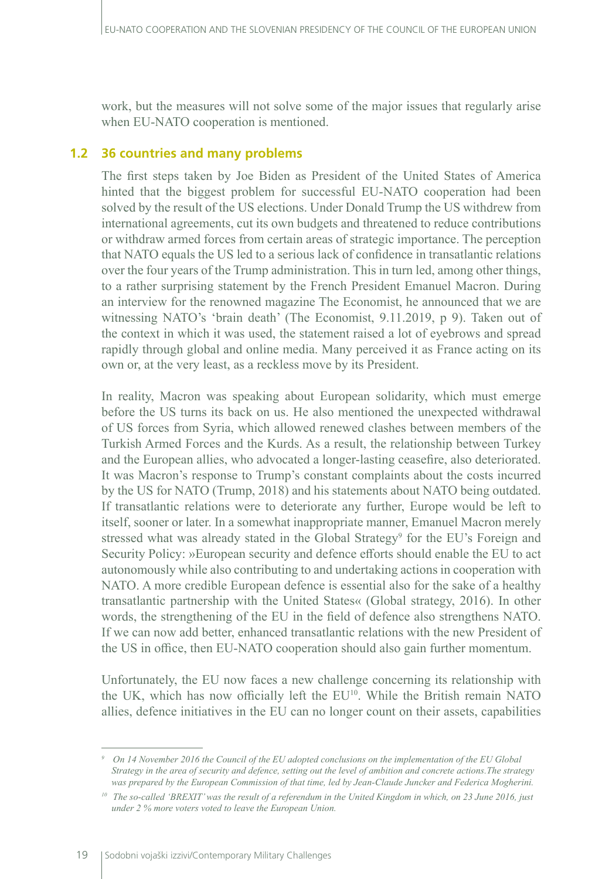work, but the measures will not solve some of the major issues that regularly arise when EU-NATO cooperation is mentioned.

## **1.2 36 countries and many problems**

The first steps taken by Joe Biden as President of the United States of America hinted that the biggest problem for successful EU-NATO cooperation had been solved by the result of the US elections. Under Donald Trump the US withdrew from international agreements, cut its own budgets and threatened to reduce contributions or withdraw armed forces from certain areas of strategic importance. The perception that NATO equals the US led to a serious lack of confidence in transatlantic relations over the four years of the Trump administration. This in turn led, among other things, to a rather surprising statement by the French President Emanuel Macron. During an interview for the renowned magazine The Economist, he announced that we are witnessing NATO's 'brain death' (The Economist, 9.11.2019, p 9). Taken out of the context in which it was used, the statement raised a lot of eyebrows and spread rapidly through global and online media. Many perceived it as France acting on its own or, at the very least, as a reckless move by its President.

In reality, Macron was speaking about European solidarity, which must emerge before the US turns its back on us. He also mentioned the unexpected withdrawal of US forces from Syria, which allowed renewed clashes between members of the Turkish Armed Forces and the Kurds. As a result, the relationship between Turkey and the European allies, who advocated a longer-lasting ceasefire, also deteriorated. It was Macron's response to Trump's constant complaints about the costs incurred by the US for NATO (Trump, 2018) and his statements about NATO being outdated. If transatlantic relations were to deteriorate any further, Europe would be left to itself, sooner or later. In a somewhat inappropriate manner, Emanuel Macron merely stressed what was already stated in the Global Strategy<sup>9</sup> for the EU's Foreign and Security Policy: »European security and defence efforts should enable the EU to act autonomously while also contributing to and undertaking actions in cooperation with NATO. A more credible European defence is essential also for the sake of a healthy transatlantic partnership with the United States« (Global strategy, 2016). In other words, the strengthening of the EU in the field of defence also strengthens NATO. If we can now add better, enhanced transatlantic relations with the new President of the US in office, then EU-NATO cooperation should also gain further momentum.

Unfortunately, the EU now faces a new challenge concerning its relationship with the UK, which has now officially left the EU<sup>10</sup>. While the British remain NATO allies, defence initiatives in the EU can no longer count on their assets, capabilities

*<sup>9</sup> On 14 November 2016 the Council of the EU adopted conclusions on the implementation of the EU Global Strategy in the area of security and defence, setting out the level of ambition and concrete actions.The strategy was prepared by the European Commission of that time, led by Jean-Claude Juncker and Federica Mogherini.*

*<sup>10</sup> The so-called 'BREXIT' was the result of a referendum in the United Kingdom in which, on 23 June 2016, just under 2 % more voters voted to leave the European Union.*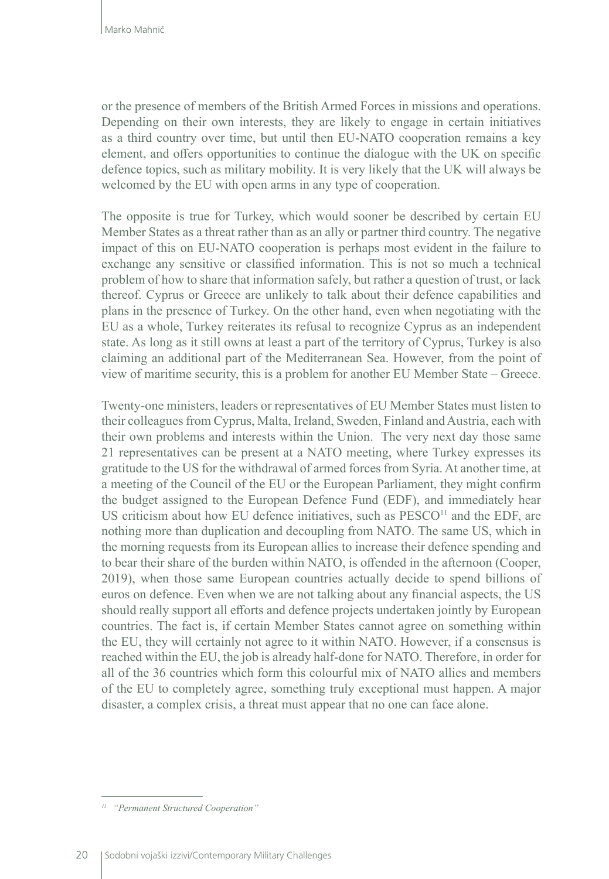or the presence of members of the British Armed Forces in missions and operations. Depending on their own interests, they are likely to engage in certain initiatives as a third country over time, but until then EU-NATO cooperation remains a key element, and offers opportunities to continue the dialogue with the UK on specific defence topics, such as military mobility. It is very likely that the UK will always be welcomed by the EU with open arms in any type of cooperation.

The opposite is true for Turkey, which would sooner be described by certain EU Member States as a threat rather than as an ally or partner third country. The negative impact of this on EU-NATO cooperation is perhaps most evident in the failure to exchange any sensitive or classified information. This is not so much a technical problem of how to share that information safely, but rather a question of trust, or lack thereof. Cyprus or Greece are unlikely to talk about their defence capabilities and plans in the presence of Turkey. On the other hand, even when negotiating with the EU as a whole, Turkey reiterates its refusal to recognize Cyprus as an independent state. As long as it still owns at least a part of the territory of Cyprus, Turkey is also claiming an additional part of the Mediterranean Sea. However, from the point of view of maritime security, this is a problem for another EU Member State – Greece.

Twenty-one ministers, leaders or representatives of EU Member States must listen to their colleagues from Cyprus, Malta, Ireland, Sweden, Finland and Austria, each with their own problems and interests within the Union. The very next day those same 21 representatives can be present at a NATO meeting, where Turkey expresses its gratitude to the US for the withdrawal of armed forces from Syria. At another time, at a meeting of the Council of the EU or the European Parliament, they might confirm the budget assigned to the European Defence Fund (EDF), and immediately hear US criticism about how EU defence initiatives, such as  $PESCO<sup>11</sup>$  and the EDF, are nothing more than duplication and decoupling from NATO. The same US, which in the morning requests from its European allies to increase their defence spending and to bear their share of the burden within NATO, is offended in the afternoon (Cooper, 2019), when those same European countries actually decide to spend billions of euros on defence. Even when we are not talking about any financial aspects, the US should really support all efforts and defence projects undertaken jointly by European countries. The fact is, if certain Member States cannot agree on something within the EU, they will certainly not agree to it within NATO. However, if a consensus is reached within the EU, the job is already half-done for NATO. Therefore, in order for all of the 36 countries which form this colourful mix of NATO allies and members of the EU to completely agree, something truly exceptional must happen. A major disaster, a complex crisis, a threat must appear that no one can face alone.

*<sup>11</sup> "Permanent Structured Cooperation"*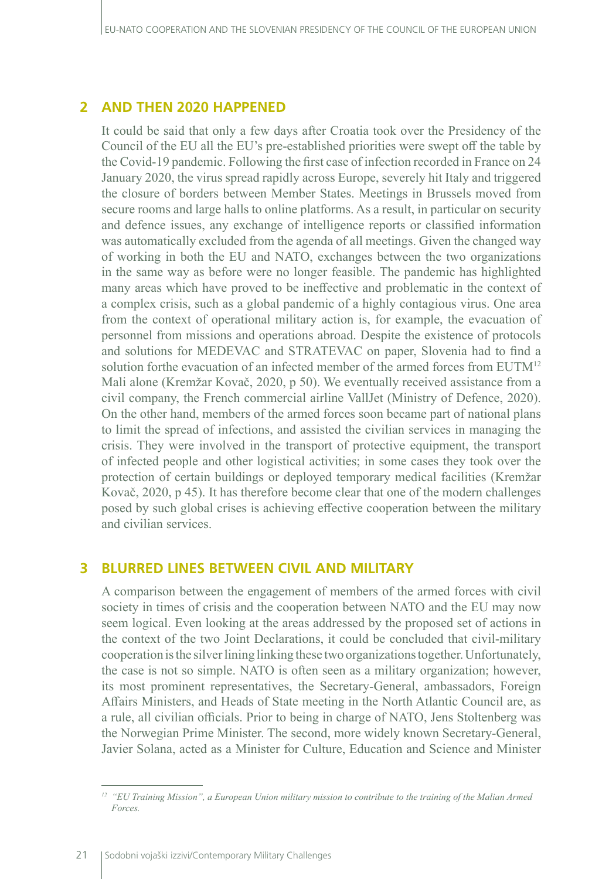## **2 AND THEN 2020 HAPPENED**

It could be said that only a few days after Croatia took over the Presidency of the Council of the EU all the EU's pre-established priorities were swept off the table by the Covid-19 pandemic. Following the first case of infection recorded in France on 24 January 2020, the virus spread rapidly across Europe, severely hit Italy and triggered the closure of borders between Member States. Meetings in Brussels moved from secure rooms and large halls to online platforms. As a result, in particular on security and defence issues, any exchange of intelligence reports or classified information was automatically excluded from the agenda of all meetings. Given the changed way of working in both the EU and NATO, exchanges between the two organizations in the same way as before were no longer feasible. The pandemic has highlighted many areas which have proved to be ineffective and problematic in the context of a complex crisis, such as a global pandemic of a highly contagious virus. One area from the context of operational military action is, for example, the evacuation of personnel from missions and operations abroad. Despite the existence of protocols and solutions for MEDEVAC and STRATEVAC on paper, Slovenia had to find a solution forthe evacuation of an infected member of the armed forces from EUTM<sup>12</sup> Mali alone (Kremžar Kovač, 2020, p 50). We eventually received assistance from a civil company, the French commercial airline VallJet (Ministry of Defence, 2020). On the other hand, members of the armed forces soon became part of national plans to limit the spread of infections, and assisted the civilian services in managing the crisis. They were involved in the transport of protective equipment, the transport of infected people and other logistical activities; in some cases they took over the protection of certain buildings or deployed temporary medical facilities (Kremžar Kovač, 2020, p 45). It has therefore become clear that one of the modern challenges posed by such global crises is achieving effective cooperation between the military and civilian services.

#### **3 BLURRED LINES BETWEEN CIVIL AND MILITARY**

A comparison between the engagement of members of the armed forces with civil society in times of crisis and the cooperation between NATO and the EU may now seem logical. Even looking at the areas addressed by the proposed set of actions in the context of the two Joint Declarations, it could be concluded that civil-military cooperation is the silver lining linking these two organizations together. Unfortunately, the case is not so simple. NATO is often seen as a military organization; however, its most prominent representatives, the Secretary-General, ambassadors, Foreign Affairs Ministers, and Heads of State meeting in the North Atlantic Council are, as a rule, all civilian officials. Prior to being in charge of NATO, Jens Stoltenberg was the Norwegian Prime Minister. The second, more widely known Secretary-General, Javier Solana, acted as a Minister for Culture, Education and Science and Minister

*<sup>12</sup> "EU Training Mission", a European Union military mission to contribute to the training of the Malian Armed Forces.*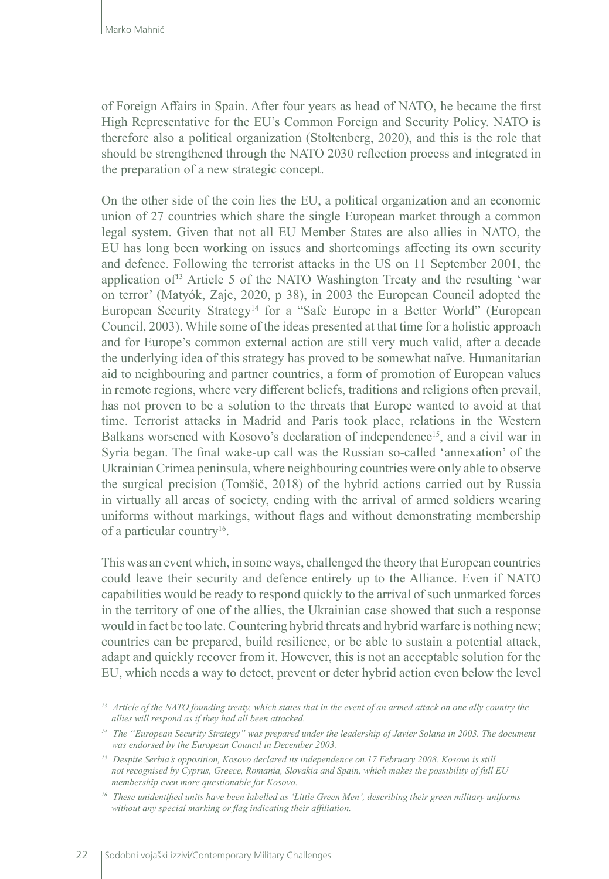of Foreign Affairs in Spain. After four years as head of NATO, he became the first High Representative for the EU's Common Foreign and Security Policy. NATO is therefore also a political organization (Stoltenberg, 2020), and this is the role that should be strengthened through the NATO 2030 reflection process and integrated in the preparation of a new strategic concept.

On the other side of the coin lies the EU, a political organization and an economic union of 27 countries which share the single European market through a common legal system. Given that not all EU Member States are also allies in NATO, the EU has long been working on issues and shortcomings affecting its own security and defence. Following the terrorist attacks in the US on 11 September 2001, the application of<sup>13</sup> Article 5 of the NATO Washington Treaty and the resulting 'war on terror' (Matyók, Zajc, 2020, p 38), in 2003 the European Council adopted the European Security Strategy<sup>14</sup> for a "Safe Europe in a Better World" (European Council, 2003). While some of the ideas presented at that time for a holistic approach and for Europe's common external action are still very much valid, after a decade the underlying idea of this strategy has proved to be somewhat naïve. Humanitarian aid to neighbouring and partner countries, a form of promotion of European values in remote regions, where very different beliefs, traditions and religions often prevail, has not proven to be a solution to the threats that Europe wanted to avoid at that time. Terrorist attacks in Madrid and Paris took place, relations in the Western Balkans worsened with Kosovo's declaration of independence<sup>15</sup>, and a civil war in Syria began. The final wake-up call was the Russian so-called 'annexation' of the Ukrainian Crimea peninsula, where neighbouring countries were only able to observe the surgical precision (Tomšič, 2018) of the hybrid actions carried out by Russia in virtually all areas of society, ending with the arrival of armed soldiers wearing uniforms without markings, without flags and without demonstrating membership of a particular country<sup>16</sup>.

This was an event which, in some ways, challenged the theory that European countries could leave their security and defence entirely up to the Alliance. Even if NATO capabilities would be ready to respond quickly to the arrival of such unmarked forces in the territory of one of the allies, the Ukrainian case showed that such a response would in fact be too late. Countering hybrid threats and hybrid warfare is nothing new; countries can be prepared, build resilience, or be able to sustain a potential attack, adapt and quickly recover from it. However, this is not an acceptable solution for the EU, which needs a way to detect, prevent or deter hybrid action even below the level

*<sup>13</sup> Article of the NATO founding treaty, which states that in the event of an armed attack on one ally country the allies will respond as if they had all been attacked.*

*<sup>14</sup> The "European Security Strategy" was prepared under the leadership of Javier Solana in 2003. The document was endorsed by the European Council in December 2003.*

*<sup>15</sup> Despite Serbia's opposition, Kosovo declared its independence on 17 February 2008. Kosovo is still not recognised by Cyprus, Greece, Romania, Slovakia and Spain, which makes the possibility of full EU membership even more questionable for Kosovo.*

*<sup>16</sup> These unidentified units have been labelled as 'Little Green Men', describing their green military uniforms without any special marking or flag indicating their affiliation.*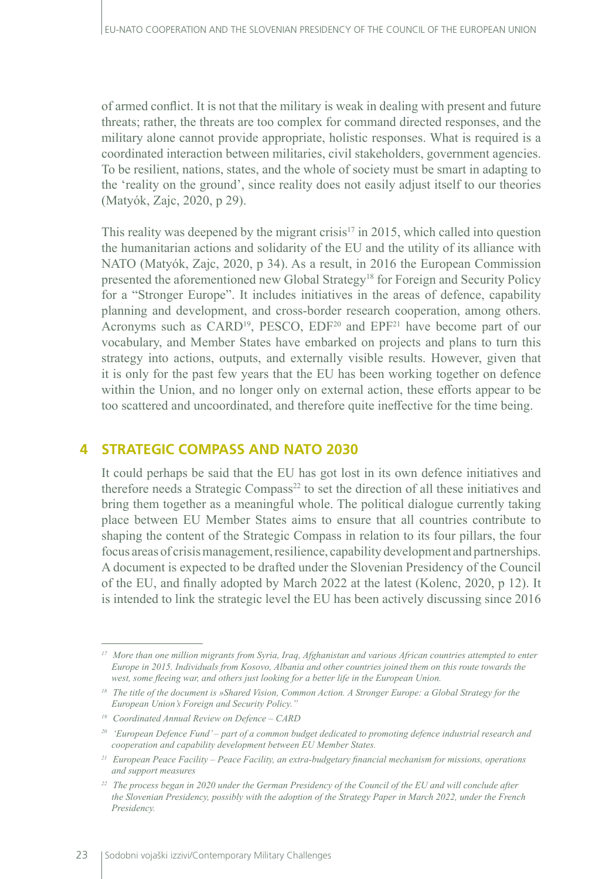of armed conflict. It is not that the military is weak in dealing with present and future threats; rather, the threats are too complex for command directed responses, and the military alone cannot provide appropriate, holistic responses. What is required is a coordinated interaction between militaries, civil stakeholders, government agencies. To be resilient, nations, states, and the whole of society must be smart in adapting to the 'reality on the ground', since reality does not easily adjust itself to our theories (Matyók, Zajc, 2020, p 29).

This reality was deepened by the migrant crisis<sup>17</sup> in 2015, which called into question the humanitarian actions and solidarity of the EU and the utility of its alliance with NATO (Matyók, Zajc, 2020, p 34). As a result, in 2016 the European Commission presented the aforementioned new Global Strategy<sup>18</sup> for Foreign and Security Policy for a "Stronger Europe". It includes initiatives in the areas of defence, capability planning and development, and cross-border research cooperation, among others. Acronyms such as CARD<sup>19</sup>, PESCO, EDF<sup>20</sup> and EPF<sup>21</sup> have become part of our vocabulary, and Member States have embarked on projects and plans to turn this strategy into actions, outputs, and externally visible results. However, given that it is only for the past few years that the EU has been working together on defence within the Union, and no longer only on external action, these efforts appear to be too scattered and uncoordinated, and therefore quite ineffective for the time being.

# **4 STRATEGIC COMPASS AND NATO 2030**

It could perhaps be said that the EU has got lost in its own defence initiatives and therefore needs a Strategic Compass<sup>22</sup> to set the direction of all these initiatives and bring them together as a meaningful whole. The political dialogue currently taking place between EU Member States aims to ensure that all countries contribute to shaping the content of the Strategic Compass in relation to its four pillars, the four focus areas of crisis management, resilience, capability development and partnerships. A document is expected to be drafted under the Slovenian Presidency of the Council of the EU, and finally adopted by March 2022 at the latest (Kolenc, 2020, p 12). It is intended to link the strategic level the EU has been actively discussing since 2016

*<sup>17</sup> More than one million migrants from Syria, Iraq, Afghanistan and various African countries attempted to enter Europe in 2015. Individuals from Kosovo, Albania and other countries joined them on this route towards the west, some fleeing war, and others just looking for a better life in the European Union.*

*<sup>18</sup> The title of the document is »Shared Vision, Common Action. A Stronger Europe: a Global Strategy for the European Union's Foreign and Security Policy."*

*<sup>19</sup> Coordinated Annual Review on Defence – CARD*

*<sup>20</sup> 'European Defence Fund' – part of a common budget dedicated to promoting defence industrial research and cooperation and capability development between EU Member States.*

*<sup>21</sup> European Peace Facility – Peace Facility, an extra-budgetary financial mechanism for missions, operations and support measures*

*<sup>22</sup> The process began in 2020 under the German Presidency of the Council of the EU and will conclude after the Slovenian Presidency, possibly with the adoption of the Strategy Paper in March 2022, under the French Presidency.*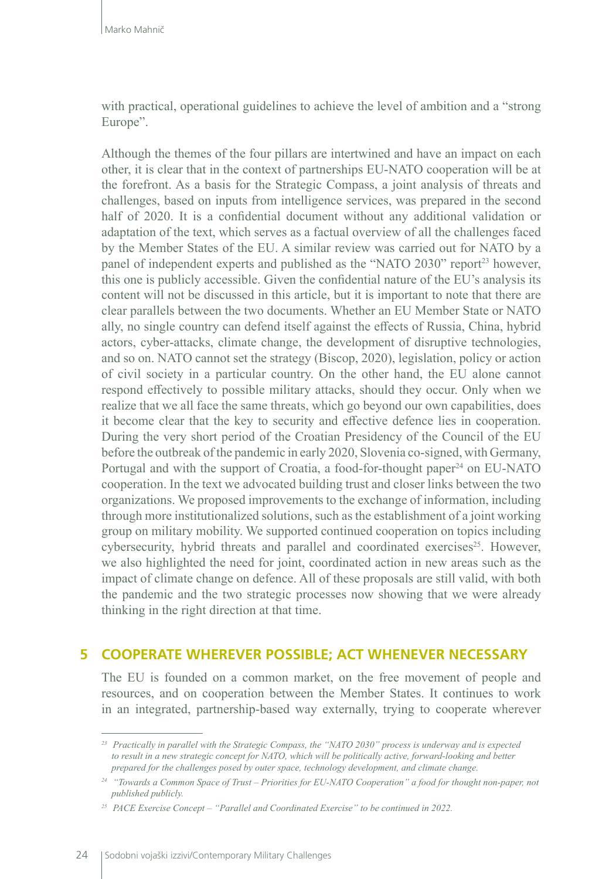with practical, operational guidelines to achieve the level of ambition and a "strong Europe".

Although the themes of the four pillars are intertwined and have an impact on each other, it is clear that in the context of partnerships EU-NATO cooperation will be at the forefront. As a basis for the Strategic Compass, a joint analysis of threats and challenges, based on inputs from intelligence services, was prepared in the second half of 2020. It is a confidential document without any additional validation or adaptation of the text, which serves as a factual overview of all the challenges faced by the Member States of the EU. A similar review was carried out for NATO by a panel of independent experts and published as the "NATO 2030" report<sup>23</sup> however, this one is publicly accessible. Given the confidential nature of the EU's analysis its content will not be discussed in this article, but it is important to note that there are clear parallels between the two documents. Whether an EU Member State or NATO ally, no single country can defend itself against the effects of Russia, China, hybrid actors, cyber-attacks, climate change, the development of disruptive technologies, and so on. NATO cannot set the strategy (Biscop, 2020), legislation, policy or action of civil society in a particular country. On the other hand, the EU alone cannot respond effectively to possible military attacks, should they occur. Only when we realize that we all face the same threats, which go beyond our own capabilities, does it become clear that the key to security and effective defence lies in cooperation. During the very short period of the Croatian Presidency of the Council of the EU before the outbreak of the pandemic in early 2020, Slovenia co-signed, with Germany, Portugal and with the support of Croatia, a food-for-thought paper $^{24}$  on EU-NATO cooperation. In the text we advocated building trust and closer links between the two organizations. We proposed improvements to the exchange of information, including through more institutionalized solutions, such as the establishment of a joint working group on military mobility. We supported continued cooperation on topics including cybersecurity, hybrid threats and parallel and coordinated exercises<sup>25</sup>. However, we also highlighted the need for joint, coordinated action in new areas such as the impact of climate change on defence. All of these proposals are still valid, with both the pandemic and the two strategic processes now showing that we were already thinking in the right direction at that time.

## **5 COOPERATE WHEREVER POSSIBLE; ACT WHENEVER NECESSARY**

The EU is founded on a common market, on the free movement of people and resources, and on cooperation between the Member States. It continues to work in an integrated, partnership-based way externally, trying to cooperate wherever

*<sup>23</sup> Practically in parallel with the Strategic Compass, the "NATO 2030" process is underway and is expected to result in a new strategic concept for NATO, which will be politically active, forward-looking and better prepared for the challenges posed by outer space, technology development, and climate change.*

*<sup>24</sup> "Towards a Common Space of Trust – Priorities for EU-NATO Cooperation" a food for thought non-paper, not published publicly.*

*<sup>25</sup> PACE Exercise Concept – "Parallel and Coordinated Exercise" to be continued in 2022.*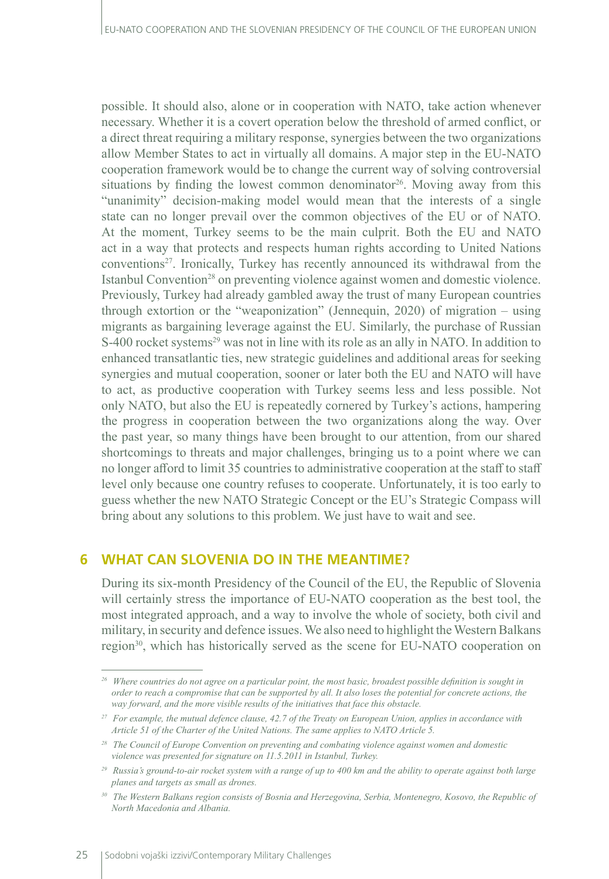possible. It should also, alone or in cooperation with NATO, take action whenever necessary. Whether it is a covert operation below the threshold of armed conflict, or a direct threat requiring a military response, synergies between the two organizations allow Member States to act in virtually all domains. A major step in the EU-NATO cooperation framework would be to change the current way of solving controversial situations by finding the lowest common denominator<sup>26</sup>. Moving away from this "unanimity" decision-making model would mean that the interests of a single state can no longer prevail over the common objectives of the EU or of NATO. At the moment, Turkey seems to be the main culprit. Both the EU and NATO act in a way that protects and respects human rights according to United Nations conventions<sup>27</sup>. Ironically, Turkey has recently announced its withdrawal from the Istanbul Convention<sup>28</sup> on preventing violence against women and domestic violence. Previously, Turkey had already gambled away the trust of many European countries through extortion or the "weaponization" (Jennequin, 2020) of migration – using migrants as bargaining leverage against the EU. Similarly, the purchase of Russian S-400 rocket systems<sup>29</sup> was not in line with its role as an ally in NATO. In addition to enhanced transatlantic ties, new strategic guidelines and additional areas for seeking synergies and mutual cooperation, sooner or later both the EU and NATO will have to act, as productive cooperation with Turkey seems less and less possible. Not only NATO, but also the EU is repeatedly cornered by Turkey's actions, hampering the progress in cooperation between the two organizations along the way. Over the past year, so many things have been brought to our attention, from our shared shortcomings to threats and major challenges, bringing us to a point where we can no longer afford to limit 35 countries to administrative cooperation at the staff to staff level only because one country refuses to cooperate. Unfortunately, it is too early to guess whether the new NATO Strategic Concept or the EU's Strategic Compass will bring about any solutions to this problem. We just have to wait and see.

# **6 WHAT CAN SLOVENIA DO IN THE MEANTIME?**

During its six-month Presidency of the Council of the EU, the Republic of Slovenia will certainly stress the importance of EU-NATO cooperation as the best tool, the most integrated approach, and a way to involve the whole of society, both civil and military, in security and defence issues. We also need to highlight the Western Balkans region<sup>30</sup>, which has historically served as the scene for EU-NATO cooperation on

*<sup>26</sup> Where countries do not agree on a particular point, the most basic, broadest possible definition is sought in order to reach a compromise that can be supported by all. It also loses the potential for concrete actions, the way forward, and the more visible results of the initiatives that face this obstacle.*

*<sup>27</sup> For example, the mutual defence clause, 42.7 of the Treaty on European Union, applies in accordance with Article 51 of the Charter of the United Nations. The same applies to NATO Article 5.*

*<sup>28</sup> The Council of Europe Convention on preventing and combating violence against women and domestic violence was presented for signature on 11.5.2011 in Istanbul, Turkey.*

*<sup>29</sup> Russia's ground-to-air rocket system with a range of up to 400 km and the ability to operate against both large planes and targets as small as drones.*

*<sup>30</sup> The Western Balkans region consists of Bosnia and Herzegovina, Serbia, Montenegro, Kosovo, the Republic of North Macedonia and Albania.*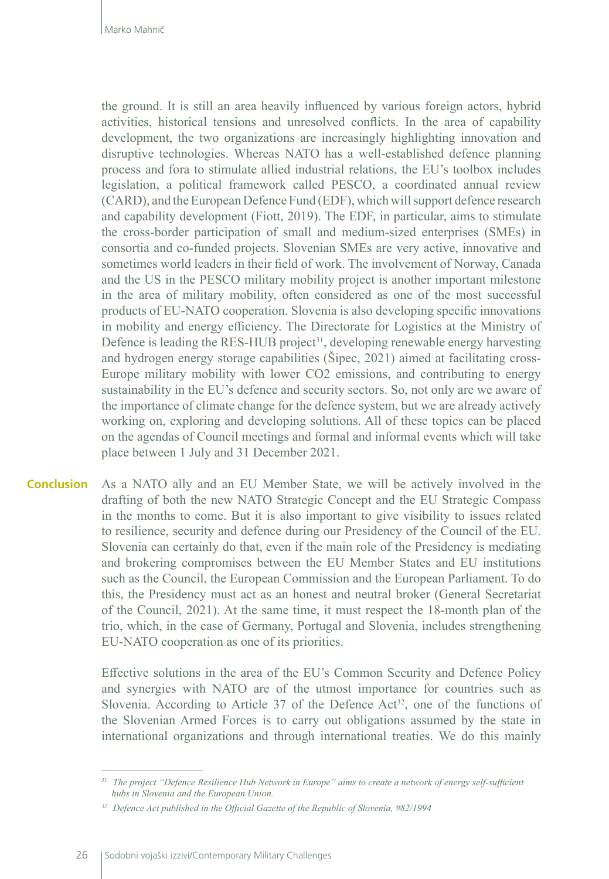the ground. It is still an area heavily influenced by various foreign actors, hybrid activities, historical tensions and unresolved conflicts. In the area of capability development, the two organizations are increasingly highlighting innovation and disruptive technologies. Whereas NATO has a well-established defence planning process and fora to stimulate allied industrial relations, the EU's toolbox includes legislation, a political framework called PESCO, a coordinated annual review (CARD), and the European Defence Fund (EDF), which will support defence research and capability development (Fiott, 2019). The EDF, in particular, aims to stimulate the cross-border participation of small and medium-sized enterprises (SMEs) in consortia and co-funded projects. Slovenian SMEs are very active, innovative and sometimes world leaders in their field of work. The involvement of Norway, Canada and the US in the PESCO military mobility project is another important milestone in the area of military mobility, often considered as one of the most successful products of EU-NATO cooperation. Slovenia is also developing specific innovations in mobility and energy efficiency. The Directorate for Logistics at the Ministry of Defence is leading the RES-HUB project<sup>31</sup>, developing renewable energy harvesting and hydrogen energy storage capabilities (Šipec, 2021) aimed at facilitating cross-Europe military mobility with lower CO2 emissions, and contributing to energy sustainability in the EU's defence and security sectors. So, not only are we aware of the importance of climate change for the defence system, but we are already actively working on, exploring and developing solutions. All of these topics can be placed on the agendas of Council meetings and formal and informal events which will take place between 1 July and 31 December 2021.

As a NATO ally and an EU Member State, we will be actively involved in the drafting of both the new NATO Strategic Concept and the EU Strategic Compass in the months to come. But it is also important to give visibility to issues related to resilience, security and defence during our Presidency of the Council of the EU. Slovenia can certainly do that, even if the main role of the Presidency is mediating and brokering compromises between the EU Member States and EU institutions such as the Council, the European Commission and the European Parliament. To do this, the Presidency must act as an honest and neutral broker (General Secretariat of the Council, 2021). At the same time, it must respect the 18-month plan of the trio, which, in the case of Germany, Portugal and Slovenia, includes strengthening EU-NATO cooperation as one of its priorities. **Conclusion**

> Effective solutions in the area of the EU's Common Security and Defence Policy and synergies with NATO are of the utmost importance for countries such as Slovenia. According to Article 37 of the Defence  $Act^{32}$ , one of the functions of the Slovenian Armed Forces is to carry out obligations assumed by the state in international organizations and through international treaties. We do this mainly

*<sup>31</sup> The project "Defence Resilience Hub Network in Europe" aims to create a network of energy self-sufficient hubs in Slovenia and the European Union.*

*<sup>32</sup> Defence Act published in the Official Gazette of the Republic of Slovenia, #82/1994*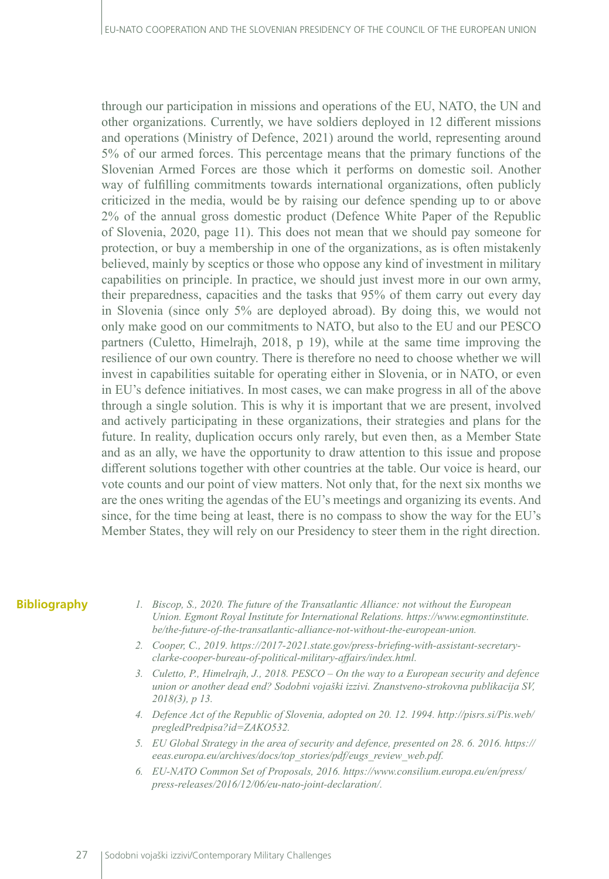through our participation in missions and operations of the EU, NATO, the UN and other organizations. Currently, we have soldiers deployed in 12 different missions and operations (Ministry of Defence, 2021) around the world, representing around 5% of our armed forces. This percentage means that the primary functions of the Slovenian Armed Forces are those which it performs on domestic soil. Another way of fulfilling commitments towards international organizations, often publicly criticized in the media, would be by raising our defence spending up to or above 2% of the annual gross domestic product (Defence White Paper of the Republic of Slovenia, 2020, page 11). This does not mean that we should pay someone for protection, or buy a membership in one of the organizations, as is often mistakenly believed, mainly by sceptics or those who oppose any kind of investment in military capabilities on principle. In practice, we should just invest more in our own army, their preparedness, capacities and the tasks that 95% of them carry out every day in Slovenia (since only 5% are deployed abroad). By doing this, we would not only make good on our commitments to NATO, but also to the EU and our PESCO partners (Culetto, Himelrajh, 2018, p 19), while at the same time improving the resilience of our own country. There is therefore no need to choose whether we will invest in capabilities suitable for operating either in Slovenia, or in NATO, or even in EU's defence initiatives. In most cases, we can make progress in all of the above through a single solution. This is why it is important that we are present, involved and actively participating in these organizations, their strategies and plans for the future. In reality, duplication occurs only rarely, but even then, as a Member State and as an ally, we have the opportunity to draw attention to this issue and propose different solutions together with other countries at the table. Our voice is heard, our vote counts and our point of view matters. Not only that, for the next six months we are the ones writing the agendas of the EU's meetings and organizing its events. And since, for the time being at least, there is no compass to show the way for the EU's Member States, they will rely on our Presidency to steer them in the right direction.

#### **Bibliography**

- *1. Biscop, S., 2020. The future of the Transatlantic Alliance: not without the European Union. Egmont Royal Institute for International Relations. https://www.egmontinstitute. be/the-future-of-the-transatlantic-alliance-not-without-the-european-union.*
- *2. Cooper, C., 2019. https://2017-2021.state.gov/press-briefing-with-assistant-secretaryclarke-cooper-bureau-of-political-military-affairs/index.html.*
- *3. Culetto, P., Himelrajh, J., 2018. PESCO On the way to a European security and defence union or another dead end? Sodobni vojaški izzivi. Znanstveno-strokovna publikacija SV, 2018(3), p 13.*
- *4. Defence Act of the Republic of Slovenia, adopted on 20. 12. 1994. http://pisrs.si/Pis.web/ pregledPredpisa?id=ZAKO532.*
- *5. EU Global Strategy in the area of security and defence, presented on 28. 6. 2016. [https://](file:/archives/docs/top_stories/pdf/eugs_review_web.pdf) [eeas.europa.eu/archives/docs/top\\_stories/pdf/eugs\\_review\\_web.pdf.](file:/archives/docs/top_stories/pdf/eugs_review_web.pdf)*
- *6. EU-NATO Common Set of Proposals, 2016. https://www.consilium.europa.eu/en/press/ press-releases/2016/12/06/eu-nato-joint-declaration/.*